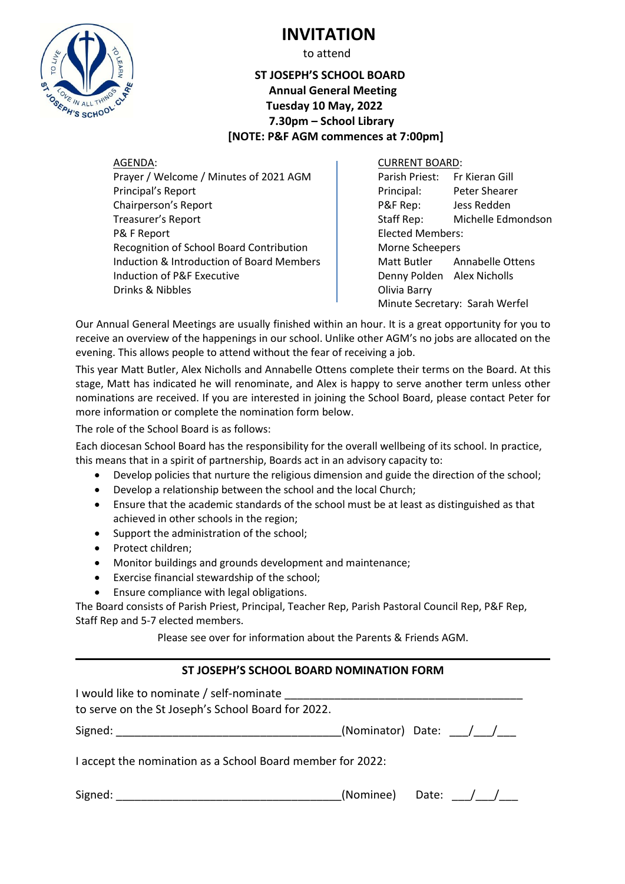

# **INVITATION**

to attend

## **ST JOSEPH'S SCHOOL BOARD Annual General Meeting Tuesday 10 May, 2022 7.30pm – School Library [NOTE: P&F AGM commences at 7:00pm]**

AGENDA: CURRENT BOARD: Prayer / Welcome / Minutes of 2021 AGM Parish Priest: Fr Kieran Gill Principal's Report **Principal:** Peter Shearer Chairperson's Report P&F Rep: Jess Redden Treasurer's Report Treasurer's Report Edmondson P& F Report **Elected Members:** Recognition of School Board Contribution Morne Scheepers Induction & Introduction of Board Members  $\parallel$  Matt Butler Annabelle Ottens Induction of P&F Executive **Denny Polden** Alex Nicholls Drinks & Nibbles **Drinks** & Nibbles

Minute Secretary: Sarah Werfel

Our Annual General Meetings are usually finished within an hour. It is a great opportunity for you to receive an overview of the happenings in our school. Unlike other AGM's no jobs are allocated on the evening. This allows people to attend without the fear of receiving a job.

This year Matt Butler, Alex Nicholls and Annabelle Ottens complete their terms on the Board. At this stage, Matt has indicated he will renominate, and Alex is happy to serve another term unless other nominations are received. If you are interested in joining the School Board, please contact Peter for more information or complete the nomination form below.

The role of the School Board is as follows:

Each diocesan School Board has the responsibility for the overall wellbeing of its school. In practice, this means that in a spirit of partnership, Boards act in an advisory capacity to:

- Develop policies that nurture the religious dimension and guide the direction of the school;
- Develop a relationship between the school and the local Church;
- Ensure that the academic standards of the school must be at least as distinguished as that achieved in other schools in the region;
- Support the administration of the school;
- Protect children;
- Monitor buildings and grounds development and maintenance;
- Exercise financial stewardship of the school;
- Ensure compliance with legal obligations.

The Board consists of Parish Priest, Principal, Teacher Rep, Parish Pastoral Council Rep, P&F Rep, Staff Rep and 5-7 elected members.

Please see over for information about the Parents & Friends AGM.

## **ST JOSEPH'S SCHOOL BOARD NOMINATION FORM**

| I would like to nominate / self-nominate                   |                       |  |               |  |
|------------------------------------------------------------|-----------------------|--|---------------|--|
| to serve on the St Joseph's School Board for 2022.         |                       |  |               |  |
| Signed:                                                    | (Nominator) Date: / / |  |               |  |
| I accept the nomination as a School Board member for 2022: |                       |  |               |  |
| Signed:                                                    | (Nominee) Date:       |  | $\frac{1}{2}$ |  |